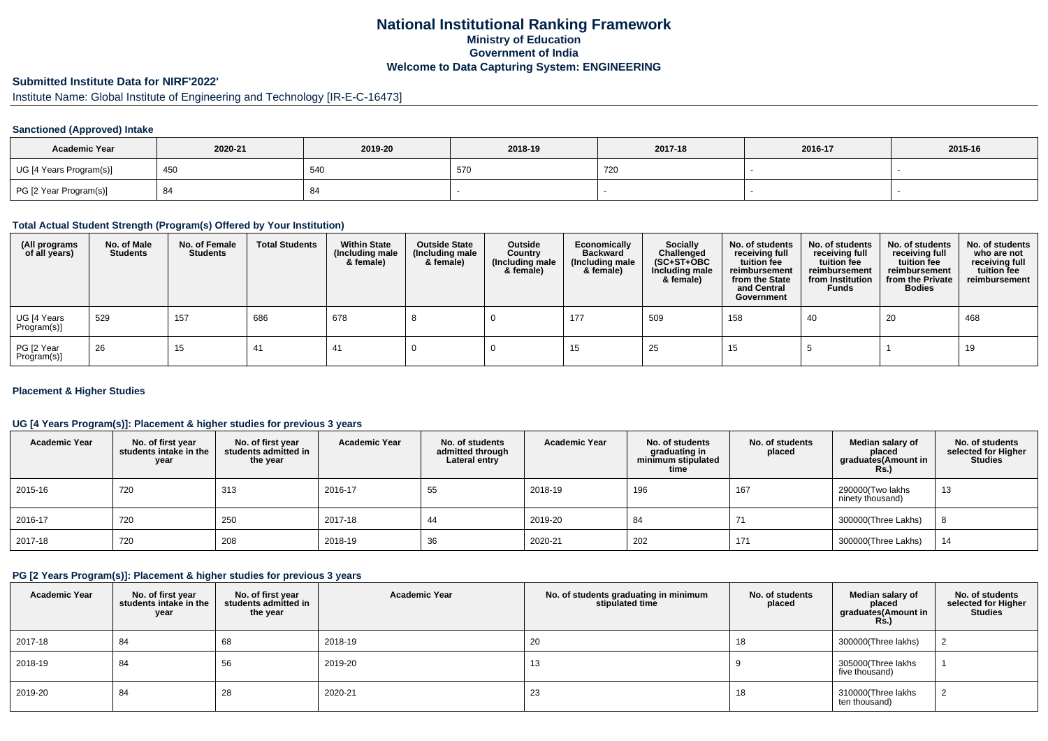## **National Institutional Ranking FrameworkMinistry of Education Government of IndiaWelcome to Data Capturing System: ENGINEERING**

# **Submitted Institute Data for NIRF'2022'**

# Institute Name: Global Institute of Engineering and Technology [IR-E-C-16473]

### **Sanctioned (Approved) Intake**

| <b>Academic Year</b>    | 2020-21 | 2019-20 | 2018-19       | 2017-18 | 2016-17 | 2015-16 |
|-------------------------|---------|---------|---------------|---------|---------|---------|
| UG [4 Years Program(s)] | 450     | 54C     | $-7t$<br>-570 | 720     |         |         |
| PG [2 Year Program(s)]  | 84      |         |               |         |         |         |

#### **Total Actual Student Strength (Program(s) Offered by Your Institution)**

| (All programs<br>of all years) | No. of Male<br><b>Students</b> | No. of Female<br>Students | <b>Total Students</b> | <b>Within State</b><br>(Including male<br>& female) | <b>Outside State</b><br>(Including male<br>& female) | Outside<br>Country<br>(Including male<br>& female) | Economically<br><b>Backward</b><br>(Including male<br>& female) | <b>Socially</b><br>Challenged<br>$(SC+ST+OBC)$<br>Including male<br>& female) | No. of students<br>receiving full<br>tuition fee<br>reimbursement<br>from the State<br>and Central<br>Government | No. of students<br>receiving full<br>tuition fee<br>reimbursement<br>from Institution<br><b>Funds</b> | No. of students<br>receiving full<br>tuition fee<br>reimbursement<br>from the Private<br><b>Bodies</b> | No. of students<br>who are not<br>receiving full<br>tuition fee<br>reimbursement |
|--------------------------------|--------------------------------|---------------------------|-----------------------|-----------------------------------------------------|------------------------------------------------------|----------------------------------------------------|-----------------------------------------------------------------|-------------------------------------------------------------------------------|------------------------------------------------------------------------------------------------------------------|-------------------------------------------------------------------------------------------------------|--------------------------------------------------------------------------------------------------------|----------------------------------------------------------------------------------|
| UG [4 Years<br>Program(s)]     | 529                            | 157                       | 686                   | 678                                                 |                                                      |                                                    | 177                                                             | 509                                                                           | 158                                                                                                              | 40                                                                                                    | 20                                                                                                     | 468                                                                              |
| PG [2 Year<br>Program(s)]      | 26                             | 15                        | 41                    | 41                                                  |                                                      |                                                    | 15                                                              | 25                                                                            | 15                                                                                                               |                                                                                                       |                                                                                                        | 19                                                                               |

### **Placement & Higher Studies**

### **UG [4 Years Program(s)]: Placement & higher studies for previous 3 years**

| <b>Academic Year</b> | No. of first year<br>students intake in the<br>year | No. of first year<br>students admitted in<br>the year | <b>Academic Year</b> | No. of students<br>admitted through<br>Lateral entry | <b>Academic Year</b> | No. of students<br>graduating in<br>minimum stipulated<br>time | No. of students<br>placed | Median salary of<br>placed<br>graduates(Amount in<br><b>Rs.)</b> | No. of students<br>selected for Higher<br>Studies |
|----------------------|-----------------------------------------------------|-------------------------------------------------------|----------------------|------------------------------------------------------|----------------------|----------------------------------------------------------------|---------------------------|------------------------------------------------------------------|---------------------------------------------------|
| 2015-16              | 720                                                 | 313                                                   | 2016-17              | 55                                                   | 2018-19              | 196                                                            | 167                       | 290000(Two lakhs<br>ninety thousand)                             | 13                                                |
| 2016-17              | 720                                                 | 250                                                   | 2017-18              | 44                                                   | 2019-20              | 84                                                             |                           | 300000(Three Lakhs)                                              |                                                   |
| 2017-18              | 720                                                 | 208                                                   | 2018-19              | 36                                                   | 2020-21              | 202                                                            | 171                       | 300000(Three Lakhs)                                              | 14                                                |

#### **PG [2 Years Program(s)]: Placement & higher studies for previous 3 years**

| <b>Academic Year</b> | No. of first year<br>students intake in the<br>year | No. of first year<br>students admitted in<br>the year | <b>Academic Year</b> | No. of students graduating in minimum<br>stipulated time | No. of students<br>placed | Median salary of<br>placed<br>graduates(Amount in<br><b>Rs.)</b> | No. of students<br>selected for Higher<br><b>Studies</b> |
|----------------------|-----------------------------------------------------|-------------------------------------------------------|----------------------|----------------------------------------------------------|---------------------------|------------------------------------------------------------------|----------------------------------------------------------|
| 2017-18              | 84                                                  | 68                                                    | 2018-19              | 20                                                       | 18                        | 300000(Three lakhs)                                              |                                                          |
| 2018-19              | 84                                                  | 56                                                    | 2019-20              | 13                                                       |                           | 305000(Three lakhs<br>five thousand)                             |                                                          |
| 2019-20              | 84                                                  | 28                                                    | 2020-21              | 23                                                       | 18                        | 310000(Three lakhs<br>ten thousand)                              |                                                          |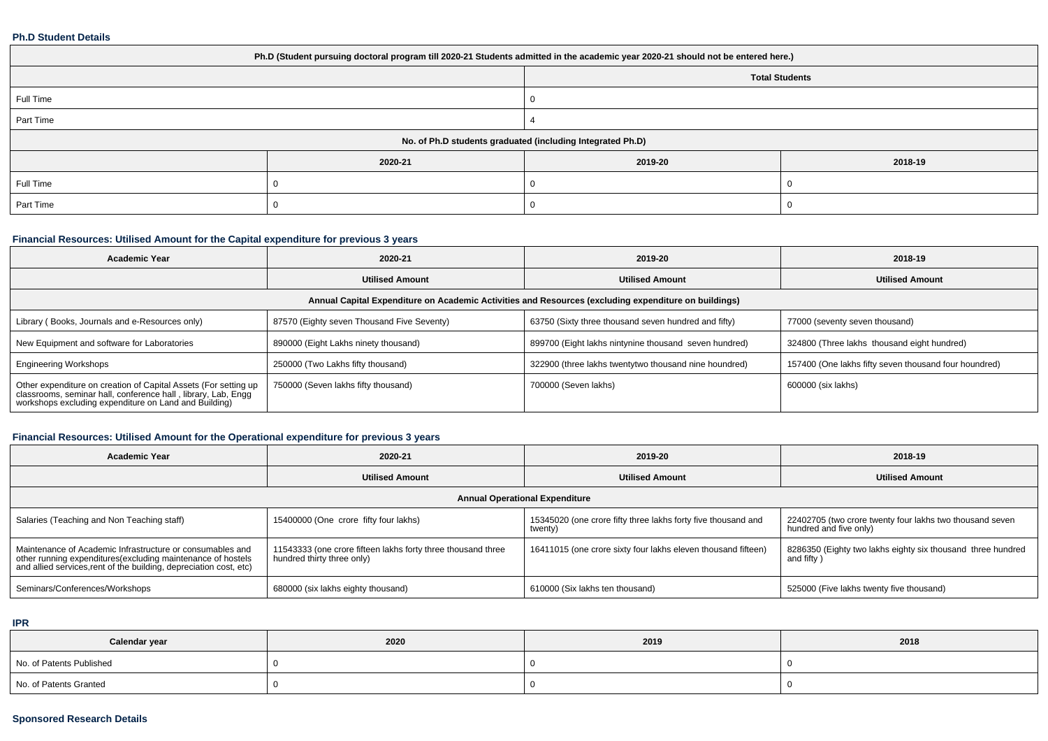#### **Ph.D Student Details**

| Ph.D (Student pursuing doctoral program till 2020-21 Students admitted in the academic year 2020-21 should not be entered here.) |         |         |         |  |  |  |  |
|----------------------------------------------------------------------------------------------------------------------------------|---------|---------|---------|--|--|--|--|
| <b>Total Students</b>                                                                                                            |         |         |         |  |  |  |  |
| Full Time                                                                                                                        |         | O       |         |  |  |  |  |
| Part Time                                                                                                                        |         |         |         |  |  |  |  |
| No. of Ph.D students graduated (including Integrated Ph.D)                                                                       |         |         |         |  |  |  |  |
|                                                                                                                                  | 2020-21 | 2019-20 | 2018-19 |  |  |  |  |
| Full Time                                                                                                                        |         |         |         |  |  |  |  |
| Part Time                                                                                                                        |         |         |         |  |  |  |  |

## **Financial Resources: Utilised Amount for the Capital expenditure for previous 3 years**

| Academic Year                                                                                                                                                                             | 2020-21                                    | 2019-20                                               | 2018-19                                               |  |  |  |  |  |  |
|-------------------------------------------------------------------------------------------------------------------------------------------------------------------------------------------|--------------------------------------------|-------------------------------------------------------|-------------------------------------------------------|--|--|--|--|--|--|
|                                                                                                                                                                                           | <b>Utilised Amount</b>                     | <b>Utilised Amount</b>                                | <b>Utilised Amount</b>                                |  |  |  |  |  |  |
| Annual Capital Expenditure on Academic Activities and Resources (excluding expenditure on buildings)                                                                                      |                                            |                                                       |                                                       |  |  |  |  |  |  |
| Library (Books, Journals and e-Resources only)                                                                                                                                            | 87570 (Eighty seven Thousand Five Seventy) | 63750 (Sixty three thousand seven hundred and fifty)  | 77000 (seventy seven thousand)                        |  |  |  |  |  |  |
| New Equipment and software for Laboratories                                                                                                                                               | 890000 (Eight Lakhs ninety thousand)       | 899700 (Eight lakhs nintynine thousand seven hundred) | 324800 (Three lakhs thousand eight hundred)           |  |  |  |  |  |  |
| <b>Engineering Workshops</b>                                                                                                                                                              | 250000 (Two Lakhs fifty thousand)          | 322900 (three lakhs twentytwo thousand nine houndred) | 157400 (One lakhs fifty seven thousand four houndred) |  |  |  |  |  |  |
| Other expenditure on creation of Capital Assets (For setting up<br>classrooms, seminar hall, conference hall, library, Lab, Engg<br>workshops excluding expenditure on Land and Building) | 750000 (Seven lakhs fifty thousand)        | 700000 (Seven lakhs)                                  | 600000 (six lakhs)                                    |  |  |  |  |  |  |

## **Financial Resources: Utilised Amount for the Operational expenditure for previous 3 years**

| <b>Academic Year</b>                                                                                                                                                                            | 2020-21                                                                                    | 2019-20                                                                  | 2018-19                                                                            |  |  |  |  |  |  |
|-------------------------------------------------------------------------------------------------------------------------------------------------------------------------------------------------|--------------------------------------------------------------------------------------------|--------------------------------------------------------------------------|------------------------------------------------------------------------------------|--|--|--|--|--|--|
|                                                                                                                                                                                                 | <b>Utilised Amount</b>                                                                     | <b>Utilised Amount</b>                                                   | <b>Utilised Amount</b>                                                             |  |  |  |  |  |  |
| <b>Annual Operational Expenditure</b>                                                                                                                                                           |                                                                                            |                                                                          |                                                                                    |  |  |  |  |  |  |
| Salaries (Teaching and Non Teaching staff)                                                                                                                                                      | 15400000 (One crore fifty four lakhs)                                                      | 15345020 (one crore fifty three lakhs forty five thousand and<br>twenty) | 22402705 (two crore twenty four lakhs two thousand seven<br>hundred and five only) |  |  |  |  |  |  |
| Maintenance of Academic Infrastructure or consumables and<br>other running expenditures (excluding maintenance of hostels<br>and allied services, rent of the building, depreciation cost, etc) | 11543333 (one crore fifteen lakhs forty three thousand three<br>hundred thirty three only) | 16411015 (one crore sixty four lakhs eleven thousand fifteen)            | 8286350 (Eighty two lakhs eighty six thousand three hundred<br>and fifty)          |  |  |  |  |  |  |
| Seminars/Conferences/Workshops                                                                                                                                                                  | 680000 (six lakhs eighty thousand)                                                         | 610000 (Six lakhs ten thousand)                                          | 525000 (Five lakhs twenty five thousand)                                           |  |  |  |  |  |  |

**IPR**

| Calendar year            | 2020 | 2019 | 2018 |
|--------------------------|------|------|------|
| No. of Patents Published |      |      |      |
| No. of Patents Granted   |      |      |      |

### **Sponsored Research Details**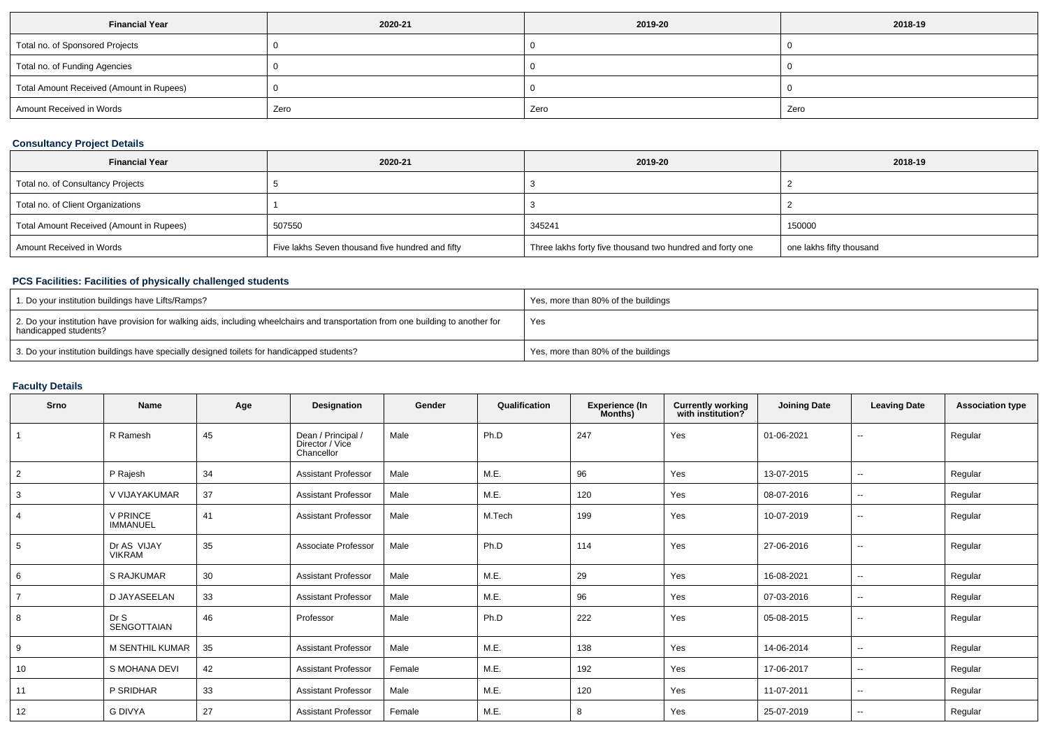| <b>Financial Year</b>                    | 2020-21 | 2019-20 | 2018-19 |
|------------------------------------------|---------|---------|---------|
| Total no. of Sponsored Projects          |         |         |         |
| Total no. of Funding Agencies            |         |         |         |
| Total Amount Received (Amount in Rupees) |         |         |         |
| Amount Received in Words                 | Zero    | Zero    | Zero    |

## **Consultancy Project Details**

| <b>Financial Year</b>                    | 2020-21                                          | 2019-20                                                   | 2018-19                  |
|------------------------------------------|--------------------------------------------------|-----------------------------------------------------------|--------------------------|
| Total no. of Consultancy Projects        |                                                  |                                                           |                          |
| Total no. of Client Organizations        |                                                  |                                                           |                          |
| Total Amount Received (Amount in Rupees) | 507550                                           | 345241                                                    | 150000                   |
| Amount Received in Words                 | Five lakhs Seven thousand five hundred and fifty | Three lakhs forty five thousand two hundred and forty one | one lakhs fifty thousand |

### **PCS Facilities: Facilities of physically challenged students**

| 1. Do your institution buildings have Lifts/Ramps?                                                                                                         | Yes, more than 80% of the buildings |
|------------------------------------------------------------------------------------------------------------------------------------------------------------|-------------------------------------|
| 2. Do your institution have provision for walking aids, including wheelchairs and transportation from one building to another for<br>handicapped students? | Yes                                 |
| 3. Do your institution buildings have specially designed toilets for handicapped students?                                                                 | Yes, more than 80% of the buildings |

# **Faculty Details**

| Srno           | <b>Name</b>                  | Age | Designation                                         | Gender | Qualification | <b>Experience (In</b><br>Months) | <b>Currently working</b><br>with institution? | <b>Joining Date</b> | <b>Leaving Date</b>      | <b>Association type</b> |
|----------------|------------------------------|-----|-----------------------------------------------------|--------|---------------|----------------------------------|-----------------------------------------------|---------------------|--------------------------|-------------------------|
|                | R Ramesh                     | 45  | Dean / Principal /<br>Director / Vice<br>Chancellor | Male   | Ph.D          | 247                              | Yes                                           | 01-06-2021          | $\overline{a}$           | Regular                 |
| $\overline{2}$ | P Rajesh                     | 34  | <b>Assistant Professor</b>                          | Male   | M.E.          | 96                               | Yes                                           | 13-07-2015          | --                       | Regular                 |
| 3              | V VIJAYAKUMAR                | 37  | <b>Assistant Professor</b>                          | Male   | M.E.          | 120                              | Yes                                           | 08-07-2016          | $\sim$                   | Regular                 |
|                | V PRINCE<br><b>IMMANUEL</b>  | 41  | <b>Assistant Professor</b>                          | Male   | M.Tech        | 199                              | Yes                                           | 10-07-2019          | --                       | Regular                 |
| 5              | Dr AS VIJAY<br><b>VIKRAM</b> | 35  | Associate Professor                                 | Male   | Ph.D          | 114                              | Yes                                           | 27-06-2016          | $\overline{\phantom{a}}$ | Regular                 |
| 6              | <b>S RAJKUMAR</b>            | 30  | <b>Assistant Professor</b>                          | Male   | M.E.          | 29                               | Yes                                           | 16-08-2021          | $\sim$                   | Regular                 |
|                | D JAYASEELAN                 | 33  | <b>Assistant Professor</b>                          | Male   | M.E.          | 96                               | Yes                                           | 07-03-2016          | $\sim$                   | Regular                 |
| 8              | Dr S<br><b>SENGOTTAIAN</b>   | 46  | Professor                                           | Male   | Ph.D          | 222                              | Yes                                           | 05-08-2015          | $\sim$                   | Regular                 |
| 9              | M SENTHIL KUMAR              | 35  | <b>Assistant Professor</b>                          | Male   | M.E.          | 138                              | Yes                                           | 14-06-2014          | $\sim$                   | Regular                 |
| 10             | S MOHANA DEVI                | 42  | <b>Assistant Professor</b>                          | Female | M.E.          | 192                              | Yes                                           | 17-06-2017          | $\overline{\phantom{a}}$ | Regular                 |
| 11             | P SRIDHAR                    | 33  | <b>Assistant Professor</b>                          | Male   | M.E.          | 120                              | Yes                                           | 11-07-2011          | --                       | Regular                 |
| 12             | <b>G DIVYA</b>               | 27  | <b>Assistant Professor</b>                          | Female | M.E.          | 8                                | Yes                                           | 25-07-2019          | $\sim$                   | Regular                 |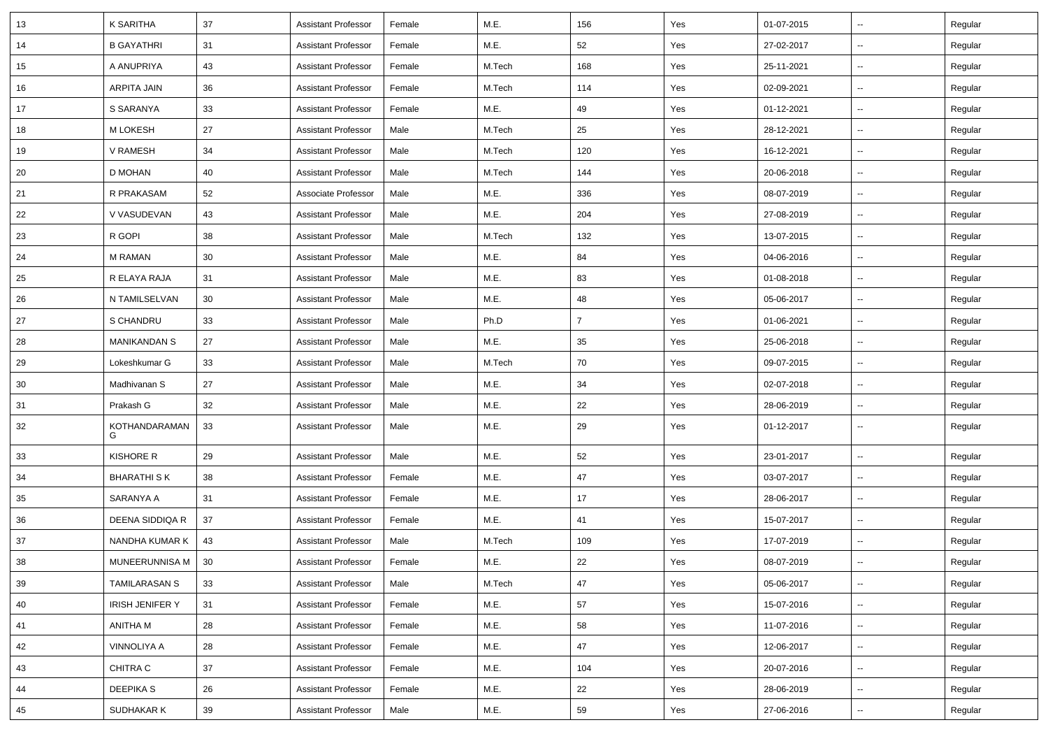| 13 | K SARITHA              | 37              | <b>Assistant Professor</b> | Female | M.E.   | 156            | Yes | 01-07-2015 | $\sim$                   | Regular |
|----|------------------------|-----------------|----------------------------|--------|--------|----------------|-----|------------|--------------------------|---------|
| 14 | <b>B GAYATHRI</b>      | 31              | <b>Assistant Professor</b> | Female | M.E.   | 52             | Yes | 27-02-2017 | $\sim$                   | Regular |
| 15 | A ANUPRIYA             | 43              | Assistant Professor        | Female | M.Tech | 168            | Yes | 25-11-2021 | $\sim$                   | Regular |
| 16 | ARPITA JAIN            | 36              | <b>Assistant Professor</b> | Female | M.Tech | 114            | Yes | 02-09-2021 | $\sim$                   | Regular |
| 17 | S SARANYA              | 33              | <b>Assistant Professor</b> | Female | M.E.   | 49             | Yes | 01-12-2021 | $\sim$                   | Regular |
| 18 | <b>M LOKESH</b>        | 27              | <b>Assistant Professor</b> | Male   | M.Tech | 25             | Yes | 28-12-2021 | $\sim$                   | Regular |
| 19 | V RAMESH               | 34              | <b>Assistant Professor</b> | Male   | M.Tech | 120            | Yes | 16-12-2021 | $\overline{\phantom{a}}$ | Regular |
| 20 | D MOHAN                | 40              | <b>Assistant Professor</b> | Male   | M.Tech | 144            | Yes | 20-06-2018 | $\sim$                   | Regular |
| 21 | R PRAKASAM             | 52              | Associate Professor        | Male   | M.E.   | 336            | Yes | 08-07-2019 | $\overline{\phantom{a}}$ | Regular |
| 22 | V VASUDEVAN            | 43              | <b>Assistant Professor</b> | Male   | M.E.   | 204            | Yes | 27-08-2019 | $\sim$                   | Regular |
| 23 | R GOPI                 | 38              | <b>Assistant Professor</b> | Male   | M.Tech | 132            | Yes | 13-07-2015 | $\sim$                   | Regular |
| 24 | M RAMAN                | 30              | <b>Assistant Professor</b> | Male   | M.E.   | 84             | Yes | 04-06-2016 | $\sim$                   | Regular |
| 25 | R ELAYA RAJA           | 31              | <b>Assistant Professor</b> | Male   | M.E.   | 83             | Yes | 01-08-2018 | $\sim$                   | Regular |
| 26 | N TAMILSELVAN          | 30 <sup>°</sup> | <b>Assistant Professor</b> | Male   | M.E.   | 48             | Yes | 05-06-2017 | $\sim$                   | Regular |
| 27 | S CHANDRU              | 33              | <b>Assistant Professor</b> | Male   | Ph.D   | $\overline{7}$ | Yes | 01-06-2021 | $\sim$                   | Regular |
| 28 | <b>MANIKANDAN S</b>    | 27              | <b>Assistant Professor</b> | Male   | M.E.   | 35             | Yes | 25-06-2018 | $\sim$                   | Regular |
| 29 | Lokeshkumar G          | 33              | <b>Assistant Professor</b> | Male   | M.Tech | 70             | Yes | 09-07-2015 | $\overline{\phantom{a}}$ | Regular |
| 30 | Madhivanan S           | 27              | <b>Assistant Professor</b> | Male   | M.E.   | 34             | Yes | 02-07-2018 | $\sim$                   | Regular |
| 31 | Prakash G              | 32              | <b>Assistant Professor</b> | Male   | M.E.   | 22             | Yes | 28-06-2019 | $\sim$                   | Regular |
| 32 | KOTHANDARAMAN<br>G     | 33              | <b>Assistant Professor</b> | Male   | M.E.   | 29             | Yes | 01-12-2017 | $\sim$                   | Regular |
| 33 | KISHORE R              | 29              | <b>Assistant Professor</b> | Male   | M.E.   | 52             | Yes | 23-01-2017 | $\sim$                   | Regular |
| 34 | <b>BHARATHI S K</b>    | 38              | Assistant Professor        | Female | M.E.   | 47             | Yes | 03-07-2017 | $\sim$                   | Regular |
| 35 | SARANYA A              | 31              | <b>Assistant Professor</b> | Female | M.E.   | 17             | Yes | 28-06-2017 | Ξ.                       | Regular |
| 36 | DEENA SIDDIQA R        | 37              | <b>Assistant Professor</b> | Female | M.E.   | 41             | Yes | 15-07-2017 | $\sim$                   | Regular |
| 37 | NANDHA KUMAR K         | 43              | <b>Assistant Professor</b> | Male   | M.Tech | 109            | Yes | 17-07-2019 | $\sim$                   | Regular |
| 38 | MUNEERUNNISA M   30    |                 | <b>Assistant Professor</b> | Female | M.E.   | 22             | Yes | 08-07-2019 | $\sim$                   | Regular |
| 39 | <b>TAMILARASAN S</b>   | 33              | <b>Assistant Professor</b> | Male   | M.Tech | 47             | Yes | 05-06-2017 | $\overline{\phantom{a}}$ | Regular |
| 40 | <b>IRISH JENIFER Y</b> | 31              | <b>Assistant Professor</b> | Female | M.E.   | 57             | Yes | 15-07-2016 | Щ,                       | Regular |
| 41 | ANITHA M               | 28              | <b>Assistant Professor</b> | Female | M.E.   | 58             | Yes | 11-07-2016 | $\sim$                   | Regular |
| 42 | VINNOLIYA A            | 28              | <b>Assistant Professor</b> | Female | M.E.   | 47             | Yes | 12-06-2017 | $\sim$                   | Regular |
| 43 | CHITRA C               | 37              | <b>Assistant Professor</b> | Female | M.E.   | 104            | Yes | 20-07-2016 | $\overline{\phantom{a}}$ | Regular |
| 44 | <b>DEEPIKAS</b>        | 26              | <b>Assistant Professor</b> | Female | M.E.   | 22             | Yes | 28-06-2019 | $\overline{\phantom{a}}$ | Regular |
| 45 | SUDHAKAR K             | 39              | <b>Assistant Professor</b> | Male   | M.E.   | 59             | Yes | 27-06-2016 | $\sim$                   | Regular |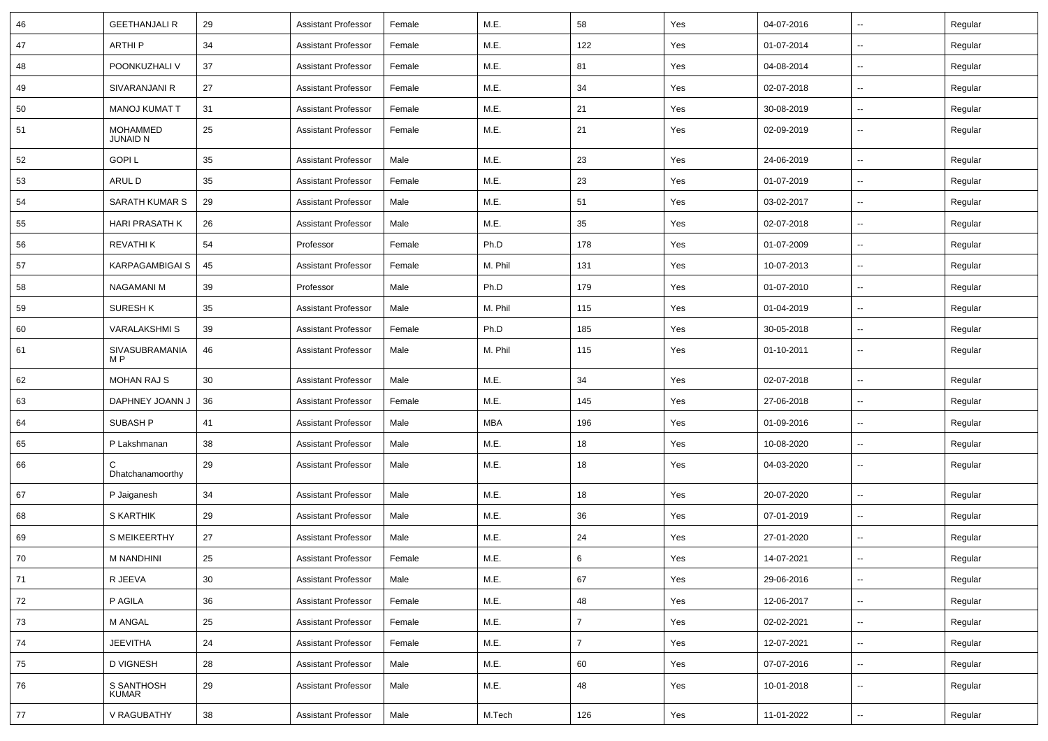| 46 | <b>GEETHANJALI R</b>               | 29     | <b>Assistant Professor</b> | Female | M.E.       | 58             | Yes | 04-07-2016 | $\sim$                   | Regular |
|----|------------------------------------|--------|----------------------------|--------|------------|----------------|-----|------------|--------------------------|---------|
| 47 | <b>ARTHIP</b>                      | 34     | <b>Assistant Professor</b> | Female | M.E.       | 122            | Yes | 01-07-2014 | $\overline{\phantom{a}}$ | Regular |
| 48 | POONKUZHALI V                      | 37     | <b>Assistant Professor</b> | Female | M.E.       | 81             | Yes | 04-08-2014 | $\overline{\phantom{a}}$ | Regular |
| 49 | SIVARANJANI R                      | 27     | <b>Assistant Professor</b> | Female | M.E.       | 34             | Yes | 02-07-2018 | $\overline{\phantom{a}}$ | Regular |
| 50 | <b>MANOJ KUMAT T</b>               | 31     | <b>Assistant Professor</b> | Female | M.E.       | 21             | Yes | 30-08-2019 | --                       | Regular |
| 51 | <b>MOHAMMED</b><br><b>JUNAID N</b> | 25     | <b>Assistant Professor</b> | Female | M.E.       | 21             | Yes | 02-09-2019 | --                       | Regular |
| 52 | <b>GOPIL</b>                       | 35     | <b>Assistant Professor</b> | Male   | M.E.       | 23             | Yes | 24-06-2019 | -−                       | Regular |
| 53 | ARUL D                             | 35     | <b>Assistant Professor</b> | Female | M.E.       | 23             | Yes | 01-07-2019 | $\sim$                   | Regular |
| 54 | <b>SARATH KUMAR S</b>              | 29     | <b>Assistant Professor</b> | Male   | M.E.       | 51             | Yes | 03-02-2017 | $\overline{\phantom{a}}$ | Regular |
| 55 | <b>HARI PRASATH K</b>              | 26     | <b>Assistant Professor</b> | Male   | M.E.       | 35             | Yes | 02-07-2018 | н.                       | Regular |
| 56 | REVATHI K                          | 54     | Professor                  | Female | Ph.D       | 178            | Yes | 01-07-2009 | $\overline{\phantom{a}}$ | Regular |
| 57 | <b>KARPAGAMBIGAI S</b>             | 45     | <b>Assistant Professor</b> | Female | M. Phil    | 131            | Yes | 10-07-2013 | $\overline{\phantom{a}}$ | Regular |
| 58 | <b>NAGAMANI M</b>                  | 39     | Professor                  | Male   | Ph.D       | 179            | Yes | 01-07-2010 | -−                       | Regular |
| 59 | <b>SURESH K</b>                    | 35     | <b>Assistant Professor</b> | Male   | M. Phil    | 115            | Yes | 01-04-2019 | ⊷.                       | Regular |
| 60 | <b>VARALAKSHMIS</b>                | 39     | <b>Assistant Professor</b> | Female | Ph.D       | 185            | Yes | 30-05-2018 | ⊷.                       | Regular |
| 61 | SIVASUBRAMANIA<br>M <sub>P</sub>   | 46     | <b>Assistant Professor</b> | Male   | M. Phil    | 115            | Yes | 01-10-2011 | -−                       | Regular |
| 62 | <b>MOHAN RAJ S</b>                 | 30     | <b>Assistant Professor</b> | Male   | M.E.       | 34             | Yes | 02-07-2018 | ⊷.                       | Regular |
| 63 | DAPHNEY JOANN J                    | 36     | <b>Assistant Professor</b> | Female | M.E.       | 145            | Yes | 27-06-2018 | ⊷.                       | Regular |
| 64 | <b>SUBASH P</b>                    | 41     | <b>Assistant Professor</b> | Male   | <b>MBA</b> | 196            | Yes | 01-09-2016 | $\overline{\phantom{a}}$ | Regular |
| 65 | P Lakshmanan                       | 38     | <b>Assistant Professor</b> | Male   | M.E.       | 18             | Yes | 10-08-2020 | ⊷.                       | Regular |
| 66 | C<br>Dhatchanamoorthy              | 29     | <b>Assistant Professor</b> | Male   | M.E.       | 18             | Yes | 04-03-2020 | $\overline{\phantom{a}}$ | Regular |
| 67 | P Jaiganesh                        | 34     | <b>Assistant Professor</b> | Male   | M.E.       | 18             | Yes | 20-07-2020 | Ξ.                       | Regular |
| 68 | S KARTHIK                          | 29     | <b>Assistant Professor</b> | Male   | M.E.       | 36             | Yes | 07-01-2019 | $\overline{\phantom{a}}$ | Regular |
| 69 | <b>S MEIKEERTHY</b>                | 27     | <b>Assistant Professor</b> | Male   | M.E.       | 24             | Yes | 27-01-2020 | ⊷.                       | Regular |
| 70 | <b>M NANDHINI</b>                  | 25     | <b>Assistant Professor</b> | Female | M.E.       | 6              | Yes | 14-07-2021 | -−                       | Regular |
| 71 | R JEEVA                            | 30     | <b>Assistant Professor</b> | Male   | M.E.       | 67             | Yes | 29-06-2016 | Щ,                       | Regular |
| 72 | P AGILA                            | 36     | <b>Assistant Professor</b> | Female | M.E.       | 48             | Yes | 12-06-2017 | н.                       | Regular |
| 73 | M ANGAL                            | 25     | <b>Assistant Professor</b> | Female | M.E.       | $\overline{7}$ | Yes | 02-02-2021 | Щ,                       | Regular |
| 74 | <b>JEEVITHA</b>                    | 24     | <b>Assistant Professor</b> | Female | M.E.       | $\overline{7}$ | Yes | 12-07-2021 | $\sim$                   | Regular |
| 75 | <b>D VIGNESH</b>                   | 28     | <b>Assistant Professor</b> | Male   | M.E.       | 60             | Yes | 07-07-2016 | $\overline{\phantom{a}}$ | Regular |
| 76 | S SANTHOSH<br><b>KUMAR</b>         | 29     | <b>Assistant Professor</b> | Male   | M.E.       | 48             | Yes | 10-01-2018 | $\overline{\phantom{a}}$ | Regular |
| 77 | V RAGUBATHY                        | $38\,$ | <b>Assistant Professor</b> | Male   | M.Tech     | 126            | Yes | 11-01-2022 | щ.                       | Regular |